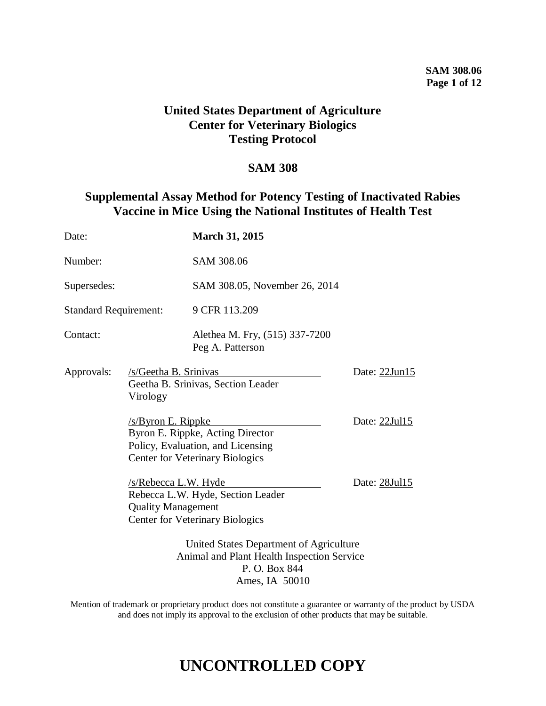### **SAM 308.06 Page 1 of 12**

# **United States Department of Agriculture Center for Veterinary Biologics Testing Protocol**

# **SAM 308**

# **Supplemental Assay Method for Potency Testing of Inactivated Rabies Vaccine in Mice Using the National Institutes of Health Test**

| Date:                        |                                                                                                                          | <b>March 31, 2015</b>                                                                                           |               |
|------------------------------|--------------------------------------------------------------------------------------------------------------------------|-----------------------------------------------------------------------------------------------------------------|---------------|
| Number:                      |                                                                                                                          | SAM 308.06                                                                                                      |               |
| Supersedes:                  |                                                                                                                          | SAM 308.05, November 26, 2014                                                                                   |               |
| <b>Standard Requirement:</b> |                                                                                                                          | 9 CFR 113.209                                                                                                   |               |
| Contact:                     |                                                                                                                          | Alethea M. Fry, (515) 337-7200<br>Peg A. Patterson                                                              |               |
| Approvals:                   | /s/Geetha B. Srinivas<br>Virology                                                                                        | Geetha B. Srinivas, Section Leader                                                                              | Date: 22Jun15 |
|                              | /s/Byron E. Rippke                                                                                                       | Byron E. Rippke, Acting Director<br>Policy, Evaluation, and Licensing<br><b>Center for Veterinary Biologics</b> | Date: 22Jul15 |
|                              | /s/Rebecca L.W. Hyde<br><b>Quality Management</b>                                                                        | Rebecca L.W. Hyde, Section Leader<br><b>Center for Veterinary Biologics</b>                                     | Date: 28Jul15 |
|                              | United States Department of Agriculture<br>Animal and Plant Health Inspection Service<br>P. O. Box 844<br>Ames, IA 50010 |                                                                                                                 |               |

Mention of trademark or proprietary product does not constitute a guarantee or warranty of the product by USDA and does not imply its approval to the exclusion of other products that may be suitable.

# **UNCONTROLLED COPY**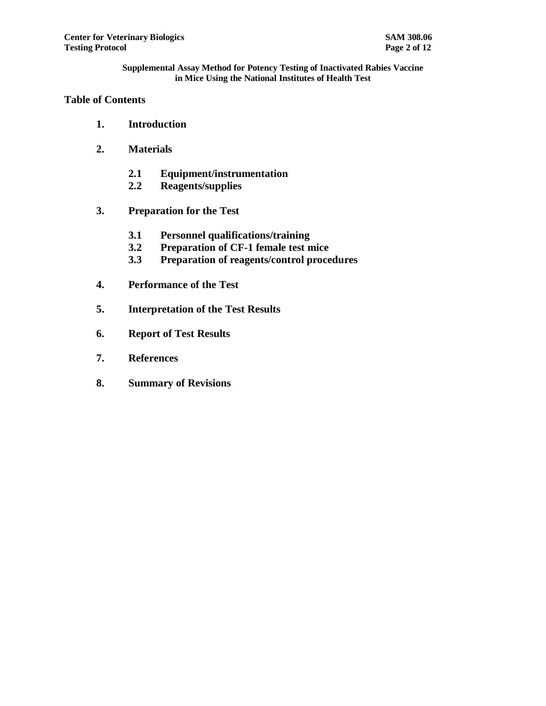# **Table of Contents**

- **1. Introduction**
- **2. Materials**
	- **2.1 Equipment/instrumentation**
	- **2.2 Reagents/supplies**
- **3. Preparation for the Test**
	- **3.1 Personnel qualifications/training**
	- **3.2 Preparation of CF-1 female test mice**
	- **3.3 Preparation of reagents/control procedures**
- **4. Performance of the Test**
- **5. Interpretation of the Test Results**
- **6. Report of Test Results**
- **7. References**
- **8. Summary of Revisions**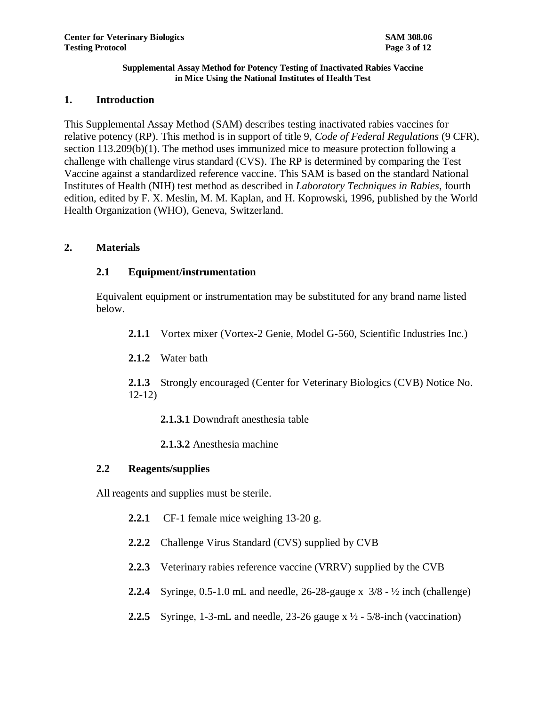### **1. Introduction**

This Supplemental Assay Method (SAM) describes testing inactivated rabies vaccines for relative potency (RP). This method is in support of title 9, *Code of Federal Regulations* (9 CFR), section  $113.209(b)(1)$ . The method uses immunized mice to measure protection following a challenge with challenge virus standard (CVS). The RP is determined by comparing the Test Vaccine against a standardized reference vaccine. This SAM is based on the standard National Institutes of Health (NIH) test method as described in *Laboratory Techniques in Rabies*, fourth edition, edited by F. X. Meslin, M. M. Kaplan, and H. Koprowski, 1996, published by the World Health Organization (WHO), Geneva, Switzerland.

# **2. Materials**

# **2.1 Equipment/instrumentation**

Equivalent equipment or instrumentation may be substituted for any brand name listed below.

- **2.1.1** Vortex mixer (Vortex-2 Genie, Model G-560, Scientific Industries Inc.)
- **2.1.2** Water bath

**2.1.3** Strongly encouraged (Center for Veterinary Biologics (CVB) Notice No. 12-12)

**2.1.3.1** Downdraft anesthesia table

**2.1.3.2** Anesthesia machine

# **2.2 Reagents/supplies**

All reagents and supplies must be sterile.

- **2.2.1** CF-1 female mice weighing 13-20 g.
- **2.2.2** Challenge Virus Standard (CVS) supplied by CVB
- **2.2.3** Veterinary rabies reference vaccine (VRRV) supplied by the CVB
- **2.2.4** Syringe, 0.5-1.0 mL and needle, 26-28-gauge x 3/8 ½ inch (challenge)
- **2.2.5** Syringe, 1-3-mL and needle, 23-26 gauge  $x \frac{1}{2}$  5/8-inch (vaccination)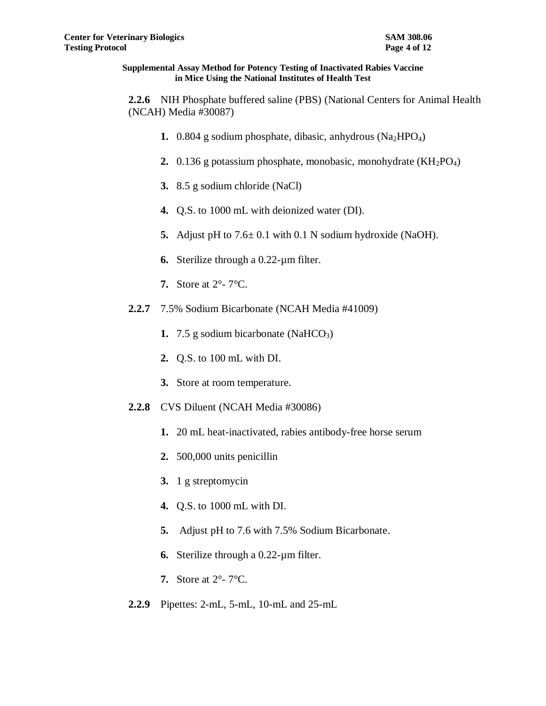**2.2.6** NIH Phosphate buffered saline (PBS) (National Centers for Animal Health (NCAH) Media #30087)

- **1.** 0.804 g sodium phosphate, dibasic, anhydrous (Na<sub>2</sub>HPO<sub>4</sub>)
- **2.** 0.136 g potassium phosphate, monobasic, monohydrate (KH<sub>2</sub>PO<sub>4</sub>)
- **3.** 8.5 g sodium chloride (NaCl)
- **4.** Q.S. to 1000 mL with deionized water (DI).
- **5.** Adjust pH to 7.6± 0.1 with 0.1 N sodium hydroxide (NaOH).
- **6.** Sterilize through a 0.22-µm filter.
- **7.** Store at 2°- 7°C.
- **2.2.7** 7.5% Sodium Bicarbonate (NCAH Media #41009)
	- **1. 7.5** g sodium bicarbonate (NaHCO<sub>3</sub>)
	- **2.** Q.S. to 100 mL with DI.
	- **3.** Store at room temperature.
- **2.2.8** CVS Diluent (NCAH Media #30086)
	- **1.** 20 mL heat-inactivated, rabies antibody-free horse serum
	- **2.** 500,000 units penicillin
	- **3.** 1 g streptomycin
	- **4.** Q.S. to 1000 mL with DI.
	- **5.** Adjust pH to 7.6 with 7.5% Sodium Bicarbonate.
	- **6.** Sterilize through a 0.22-µm filter.
	- **7.** Store at 2°- 7°C.
- **2.2.9** Pipettes: 2-mL, 5-mL, 10-mL and 25-mL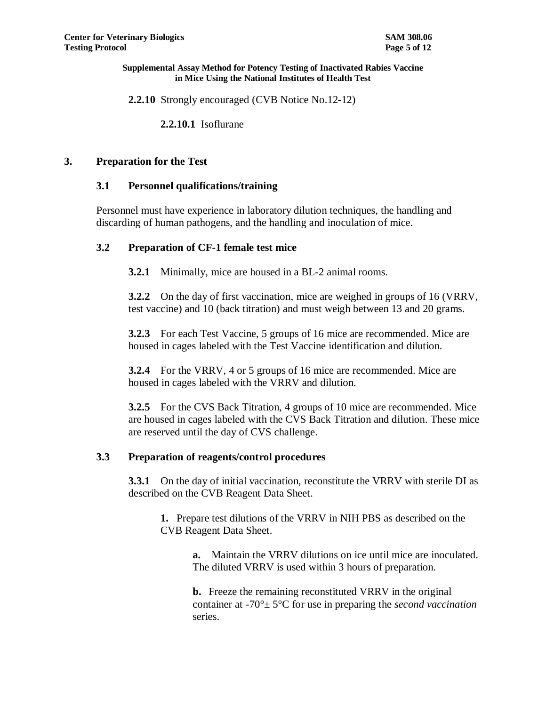**2.2.10** Strongly encouraged (CVB Notice No.12-12)

**2.2.10.1** Isoflurane

### **3. Preparation for the Test**

### **3.1 Personnel qualifications/training**

Personnel must have experience in laboratory dilution techniques, the handling and discarding of human pathogens, and the handling and inoculation of mice.

### **3.2 Preparation of CF-1 female test mice**

**3.2.1** Minimally, mice are housed in a BL-2 animal rooms.

**3.2.2** On the day of first vaccination, mice are weighed in groups of 16 (VRRV, test vaccine) and 10 (back titration) and must weigh between 13 and 20 grams.

**3.2.3** For each Test Vaccine, 5 groups of 16 mice are recommended. Mice are housed in cages labeled with the Test Vaccine identification and dilution.

**3.2.4** For the VRRV, 4 or 5 groups of 16 mice are recommended. Mice are housed in cages labeled with the VRRV and dilution.

**3.2.5** For the CVS Back Titration, 4 groups of 10 mice are recommended. Mice are housed in cages labeled with the CVS Back Titration and dilution. These mice are reserved until the day of CVS challenge.

### **3.3 Preparation of reagents/control procedures**

**3.3.1** On the day of initial vaccination, reconstitute the VRRV with sterile DI as described on the CVB Reagent Data Sheet.

**1.** Prepare test dilutions of the VRRV in NIH PBS as described on the CVB Reagent Data Sheet.

> **a.** Maintain the VRRV dilutions on ice until mice are inoculated. The diluted VRRV is used within 3 hours of preparation.

> **b.** Freeze the remaining reconstituted VRRV in the original container at -70°± 5°C for use in preparing the *second vaccination* series.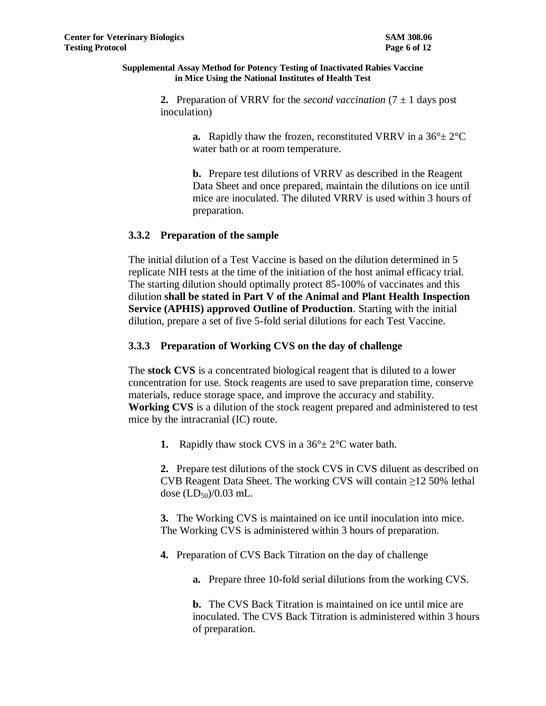**2.** Preparation of VRRV for the *second vaccination*  $(7 \pm 1)$  days post inoculation)

> **a.** Rapidly thaw the frozen, reconstituted VRRV in a  $36^\circ \pm 2^\circ \text{C}$ water bath or at room temperature.

**b.** Prepare test dilutions of VRRV as described in the Reagent Data Sheet and once prepared, maintain the dilutions on ice until mice are inoculated. The diluted VRRV is used within 3 hours of preparation.

# **3.3.2 Preparation of the sample**

The initial dilution of a Test Vaccine is based on the dilution determined in 5 replicate NIH tests at the time of the initiation of the host animal efficacy trial. The starting dilution should optimally protect 85-100% of vaccinates and this dilution **shall be stated in Part V of the Animal and Plant Health Inspection Service (APHIS) approved Outline of Production**. Starting with the initial dilution, prepare a set of five 5-fold serial dilutions for each Test Vaccine.

# **3.3.3 Preparation of Working CVS on the day of challenge**

The **stock CVS** is a concentrated biological reagent that is diluted to a lower concentration for use. Stock reagents are used to save preparation time, conserve materials, reduce storage space, and improve the accuracy and stability. **Working CVS** is a dilution of the stock reagent prepared and administered to test mice by the intracranial (IC) route.

**1.** Rapidly thaw stock CVS in a  $36^{\circ} \pm 2^{\circ}$ C water bath.

**2.** Prepare test dilutions of the stock CVS in CVS diluent as described on CVB Reagent Data Sheet. The working CVS will contain  $\geq$ 12 50% lethal dose  $(LD_{50})/0.03$  mL.

**3.** The Working CVS is maintained on ice until inoculation into mice. The Working CVS is administered within 3 hours of preparation.

**4.** Preparation of CVS Back Titration on the day of challenge

**a.** Prepare three 10-fold serial dilutions from the working CVS.

**b.** The CVS Back Titration is maintained on ice until mice are inoculated. The CVS Back Titration is administered within 3 hours of preparation.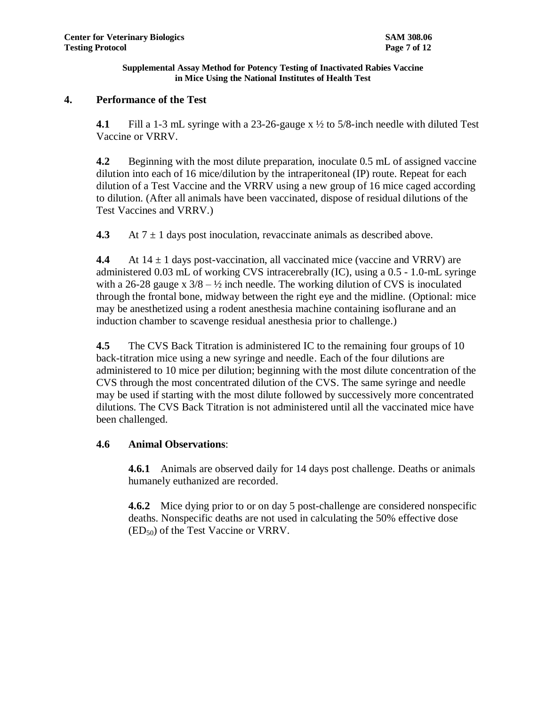# **4. Performance of the Test**

**4.1** Fill a 1-3 mL syringe with a 23-26-gauge x ½ to 5/8-inch needle with diluted Test Vaccine or VRRV.

**4.2** Beginning with the most dilute preparation, inoculate 0.5 mL of assigned vaccine dilution into each of 16 mice/dilution by the intraperitoneal (IP) route. Repeat for each dilution of a Test Vaccine and the VRRV using a new group of 16 mice caged according to dilution. (After all animals have been vaccinated, dispose of residual dilutions of the Test Vaccines and VRRV.)

**4.3** At  $7 \pm 1$  days post inoculation, revaccinate animals as described above.

**4.4** At  $14 \pm 1$  days post-vaccination, all vaccinated mice (vaccine and VRRV) are administered 0.03 mL of working CVS intracerebrally (IC), using a 0.5 - 1.0-mL syringe with a 26-28 gauge x  $3/8 - \frac{1}{2}$  inch needle. The working dilution of CVS is inoculated through the frontal bone, midway between the right eye and the midline. (Optional: mice may be anesthetized using a rodent anesthesia machine containing isoflurane and an induction chamber to scavenge residual anesthesia prior to challenge.)

**4.5** The CVS Back Titration is administered IC to the remaining four groups of 10 back-titration mice using a new syringe and needle. Each of the four dilutions are administered to 10 mice per dilution; beginning with the most dilute concentration of the CVS through the most concentrated dilution of the CVS. The same syringe and needle may be used if starting with the most dilute followed by successively more concentrated dilutions. The CVS Back Titration is not administered until all the vaccinated mice have been challenged.

# **4.6 Animal Observations**:

**4.6.1** Animals are observed daily for 14 days post challenge. Deaths or animals humanely euthanized are recorded.

**4.6.2** Mice dying prior to or on day 5 post-challenge are considered nonspecific deaths. Nonspecific deaths are not used in calculating the 50% effective dose  $(ED<sub>50</sub>)$  of the Test Vaccine or VRRV.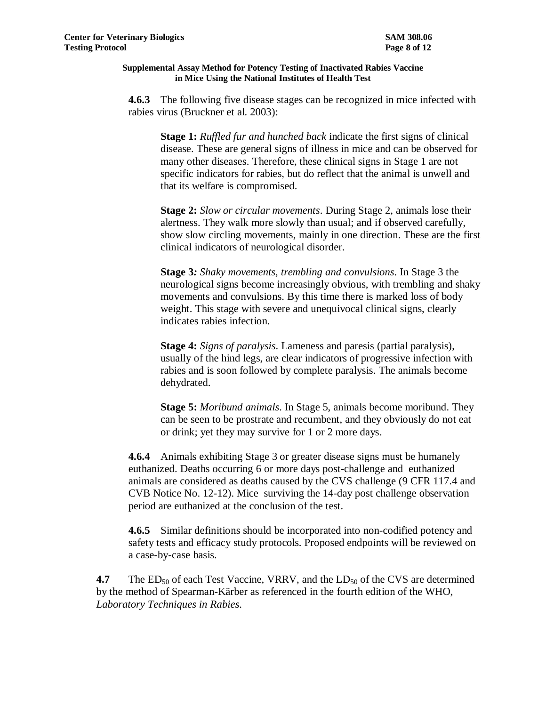**4.6.3** The following five disease stages can be recognized in mice infected with rabies virus (Bruckner et al. 2003):

**Stage 1:** *Ruffled fur and hunched back* indicate the first signs of clinical disease. These are general signs of illness in mice and can be observed for many other diseases. Therefore, these clinical signs in Stage 1 are not specific indicators for rabies, but do reflect that the animal is unwell and that its welfare is compromised.

**Stage 2:** *Slow or circular movements*. During Stage 2, animals lose their alertness. They walk more slowly than usual; and if observed carefully, show slow circling movements, mainly in one direction. These are the first clinical indicators of neurological disorder.

**Stage 3***: Shaky movements, trembling and convulsions*. In Stage 3 the neurological signs become increasingly obvious, with trembling and shaky movements and convulsions. By this time there is marked loss of body weight. This stage with severe and unequivocal clinical signs, clearly indicates rabies infection.

**Stage 4:** *Signs of paralysis*. Lameness and paresis (partial paralysis), usually of the hind legs, are clear indicators of progressive infection with rabies and is soon followed by complete paralysis. The animals become dehydrated.

**Stage 5:** *Moribund animals*. In Stage 5, animals become moribund. They can be seen to be prostrate and recumbent, and they obviously do not eat or drink; yet they may survive for 1 or 2 more days.

**4.6.4** Animals exhibiting Stage 3 or greater disease signs must be humanely euthanized. Deaths occurring 6 or more days post-challenge and euthanized animals are considered as deaths caused by the CVS challenge (9 CFR 117.4 and CVB Notice No. 12-12). Mice surviving the 14-day post challenge observation period are euthanized at the conclusion of the test.

**4.6.5** Similar definitions should be incorporated into non-codified potency and safety tests and efficacy study protocols. Proposed endpoints will be reviewed on a case-by-case basis.

**4.7** The ED<sub>50</sub> of each Test Vaccine, VRRV, and the LD<sub>50</sub> of the CVS are determined by the method of Spearman-Kärber as referenced in the fourth edition of the WHO, *Laboratory Techniques in Rabies*.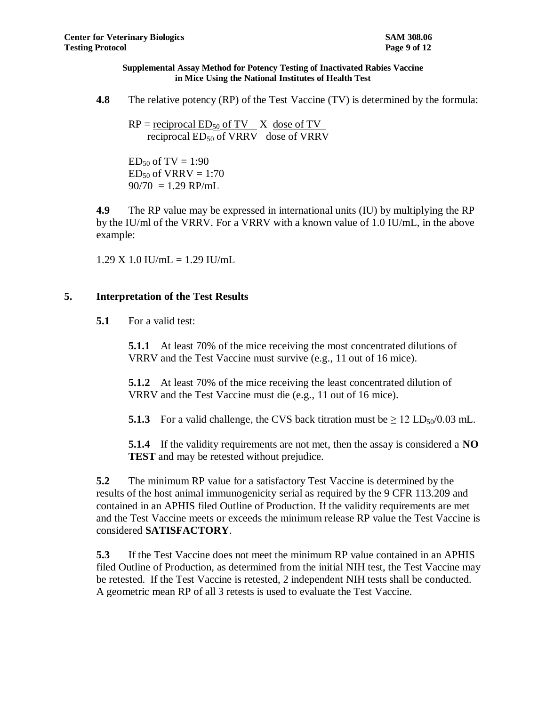**4.8** The relative potency (RP) of the Test Vaccine (TV) is determined by the formula:

 $RP =$  reciprocal  $ED_{50}$  of TV  $X$  dose of TV reciprocal  $ED_{50}$  of VRRV dose of VRRV

 $ED_{50}$  of TV = 1:90  $ED_{50}$  of VRRV = 1:70  $90/70 = 1.29$  RP/mL

**4.9** The RP value may be expressed in international units (IU) by multiplying the RP by the IU/ml of the VRRV. For a VRRV with a known value of 1.0 IU/mL, in the above example:

 $1.29$  X  $1.0$  IU/mL =  $1.29$  IU/mL

# **5. Interpretation of the Test Results**

**5.1** For a valid test:

**5.1.1** At least 70% of the mice receiving the most concentrated dilutions of VRRV and the Test Vaccine must survive (e.g., 11 out of 16 mice).

**5.1.2** At least 70% of the mice receiving the least concentrated dilution of VRRV and the Test Vaccine must die (e.g., 11 out of 16 mice).

**5.1.3** For a valid challenge, the CVS back titration must be  $\geq 12$  LD<sub>50</sub>/0.03 mL.

**5.1.4** If the validity requirements are not met, then the assay is considered a **NO TEST** and may be retested without prejudice.

**5.2** The minimum RP value for a satisfactory Test Vaccine is determined by the results of the host animal immunogenicity serial as required by the 9 CFR 113.209 and contained in an APHIS filed Outline of Production. If the validity requirements are met and the Test Vaccine meets or exceeds the minimum release RP value the Test Vaccine is considered **SATISFACTORY**.

**5.3** If the Test Vaccine does not meet the minimum RP value contained in an APHIS filed Outline of Production, as determined from the initial NIH test, the Test Vaccine may be retested. If the Test Vaccine is retested, 2 independent NIH tests shall be conducted. A geometric mean RP of all 3 retests is used to evaluate the Test Vaccine.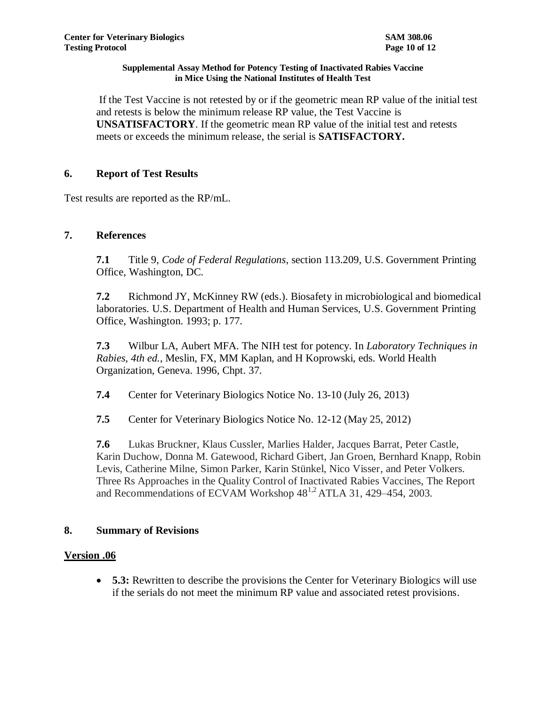If the Test Vaccine is not retested by or if the geometric mean RP value of the initial test and retests is below the minimum release RP value, the Test Vaccine is **UNSATISFACTORY**. If the geometric mean RP value of the initial test and retests meets or exceeds the minimum release, the serial is **SATISFACTORY.** 

# **6. Report of Test Results**

Test results are reported as the RP/mL.

# **7. References**

**7.1** Title 9, *Code of Federal Regulations*, section 113.209, U.S. Government Printing Office, Washington, DC.

**7.2** Richmond JY, McKinney RW (eds.). Biosafety in microbiological and biomedical laboratories. U.S. Department of Health and Human Services, U.S. Government Printing Office, Washington. 1993; p. 177.

**7.3** Wilbur LA, Aubert MFA. The NIH test for potency. In *Laboratory Techniques in Rabies, 4th ed.*, Meslin, FX, MM Kaplan, and H Koprowski, eds. World Health Organization, Geneva. 1996, Chpt. 37.

**7.4** Center for Veterinary Biologics Notice No. 13-10 (July 26, 2013)

**7.5** Center for Veterinary Biologics Notice No. 12-12 (May 25, 2012)

**7.6** Lukas Bruckner, Klaus Cussler, Marlies Halder, Jacques Barrat, Peter Castle, Karin Duchow, Donna M. Gatewood, Richard Gibert, Jan Groen, Bernhard Knapp, Robin Levis, Catherine Milne, Simon Parker, Karin Stünkel, Nico Visser, and Peter Volkers. Three Rs Approaches in the Quality Control of Inactivated Rabies Vaccines, The Report and Recommendations of ECVAM Workshop  $48^{1,2}$  ATLA 31, 429–454, 2003.

### **8. Summary of Revisions**

### **Version .06**

 **5.3:** Rewritten to describe the provisions the Center for Veterinary Biologics will use if the serials do not meet the minimum RP value and associated retest provisions.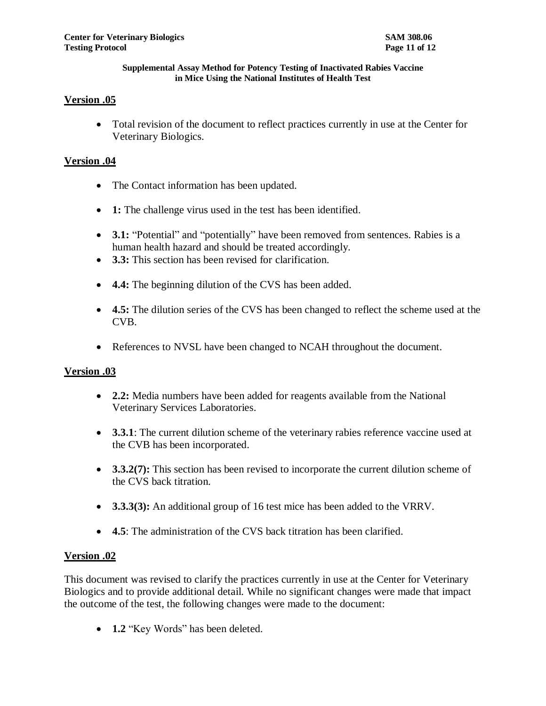# **Version .05**

 Total revision of the document to reflect practices currently in use at the Center for Veterinary Biologics.

# **Version .04**

- The Contact information has been updated.
- **1:** The challenge virus used in the test has been identified.
- **3.1:** "Potential" and "potentially" have been removed from sentences. Rabies is a human health hazard and should be treated accordingly.
- **3.3:** This section has been revised for clarification.
- **4.4:** The beginning dilution of the CVS has been added.
- **4.5:** The dilution series of the CVS has been changed to reflect the scheme used at the CVB.
- References to NVSL have been changed to NCAH throughout the document.

### **Version .03**

- **2.2:** Media numbers have been added for reagents available from the National Veterinary Services Laboratories.
- **3.3.1**: The current dilution scheme of the veterinary rabies reference vaccine used at the CVB has been incorporated.
- **3.3.2(7):** This section has been revised to incorporate the current dilution scheme of the CVS back titration.
- **3.3.3(3):** An additional group of 16 test mice has been added to the VRRV.
- **4.5**: The administration of the CVS back titration has been clarified.

### **Version .02**

This document was revised to clarify the practices currently in use at the Center for Veterinary Biologics and to provide additional detail. While no significant changes were made that impact the outcome of the test, the following changes were made to the document:

• **1.2** "Key Words" has been deleted.